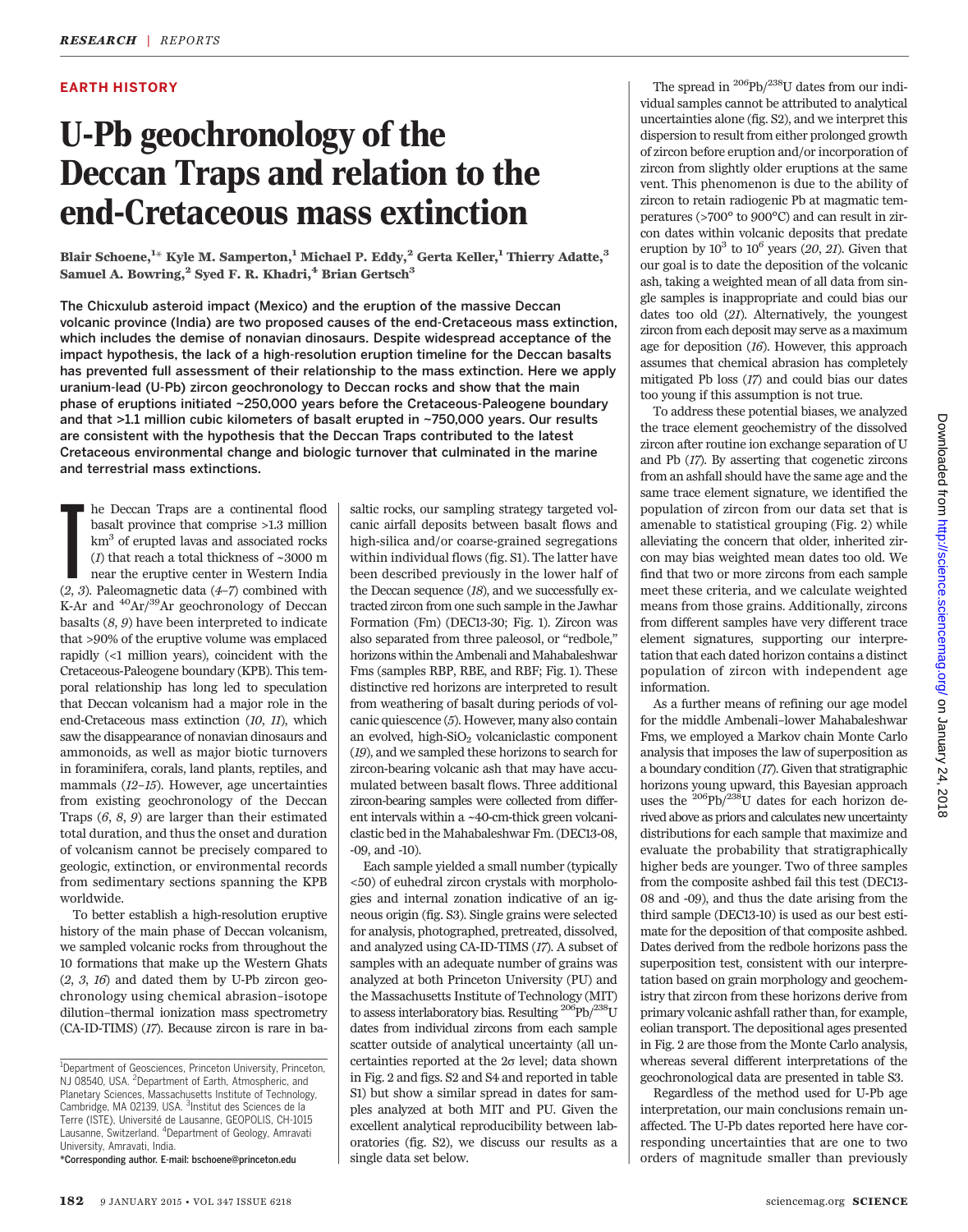## EARTH HISTORY

# U-Pb geochronology of the Deccan Traps and relation to the end-Cretaceous mass extinction

Blair Schoene, $^{\rm 1\ast}$  Kyle M. Samperton, $^{\rm 1}$  Michael P. Eddy, $^{\rm 2}$  Gerta Keller, $^{\rm 1}$  Thierry Adatte, $^{\rm 3}$ Samuel A. Bowring,<sup>2</sup> Syed F. R. Khadri,<sup>4</sup> Brian Gertsch<sup>3</sup>

The Chicxulub asteroid impact (Mexico) and the eruption of the massive Deccan volcanic province (India) are two proposed causes of the end-Cretaceous mass extinction, which includes the demise of nonavian dinosaurs. Despite widespread acceptance of the impact hypothesis, the lack of a high-resolution eruption timeline for the Deccan basalts has prevented full assessment of their relationship to the mass extinction. Here we apply uranium-lead (U-Pb) zircon geochronology to Deccan rocks and show that the main phase of eruptions initiated ~250,000 years before the Cretaceous-Paleogene boundary and that >1.1 million cubic kilometers of basalt erupted in ~750,000 years. Our results are consistent with the hypothesis that the Deccan Traps contributed to the latest Cretaceous environmental change and biologic turnover that culminated in the marine and terrestrial mass extinctions.

**The Deccan Traps are a continental flood** basalt province that comprise >1.3 million km<sup>3</sup> of erupted lavas and associated rocks (*1*) that reach a total thickness of  $\sim$ 3000 m near the eruptive center in Western India he Deccan Traps are a continental flood basalt province that comprise >1.3 million km3 of erupted lavas and associated rocks (1) that reach a total thickness of  $\sim\!3000$  m near the eruptive center in Western India K-Ar and  $^{40}Ar/^{39}Ar$  geochronology of Deccan basalts  $(8, 9)$  have been interpreted to indicate that >90% of the eruptive volume was emplaced rapidly (<1 million years), coincident with the Cretaceous-Paleogene boundary (KPB). This temporal relationship has long led to speculation that Deccan volcanism had a major role in the end-Cretaceous mass extinction (10, 11), which saw the disappearance of nonavian dinosaurs and ammonoids, as well as major biotic turnovers in foraminifera, corals, land plants, reptiles, and mammals (12–15). However, age uncertainties from existing geochronology of the Deccan Traps (6, 8, 9) are larger than their estimated total duration, and thus the onset and duration of volcanism cannot be precisely compared to geologic, extinction, or environmental records from sedimentary sections spanning the KPB worldwide.

To better establish a high-resolution eruptive history of the main phase of Deccan volcanism, we sampled volcanic rocks from throughout the 10 formations that make up the Western Ghats  $(2, 3, 16)$  and dated them by U-Pb zircon geochronology using chemical abrasion–isotope dilution–thermal ionization mass spectrometry (CA-ID-TIMS) (17). Because zircon is rare in ba-

\*Corresponding author. E-mail: bschoene@princeton.edu

saltic rocks, our sampling strategy targeted volcanic airfall deposits between basalt flows and high-silica and/or coarse-grained segregations within individual flows (fig. S1). The latter have been described previously in the lower half of the Deccan sequence (18), and we successfully extracted zircon from one such sample in the Jawhar Formation (Fm) (DEC13-30; Fig. 1). Zircon was also separated from three paleosol, or "redbole," horizons within the Ambenali and Mahabaleshwar Fms (samples RBP, RBE, and RBF; Fig. 1). These distinctive red horizons are interpreted to result from weathering of basalt during periods of volcanic quiescence (5). However, many also contain an evolved, high- $SiO<sub>2</sub>$  volcaniclastic component (19), and we sampled these horizons to search for zircon-bearing volcanic ash that may have accumulated between basalt flows. Three additional zircon-bearing samples were collected from different intervals within a ~40-cm-thick green volcaniclastic bed in the Mahabaleshwar Fm. (DEC13-08, -09, and -10).

Each sample yielded a small number (typically <50) of euhedral zircon crystals with morphologies and internal zonation indicative of an igneous origin (fig. S3). Single grains were selected for analysis, photographed, pretreated, dissolved, and analyzed using CA-ID-TIMS (17). A subset of samples with an adequate number of grains was analyzed at both Princeton University (PU) and the Massachusetts Institute of Technology (MIT) to assess interlaboratory bias. Resulting  $^{206}\mathrm{Pb} / ^{238}\mathrm{U}$ dates from individual zircons from each sample scatter outside of analytical uncertainty (all uncertainties reported at the  $2\sigma$  level; data shown in Fig. 2 and figs. S2 and S4 and reported in table S1) but show a similar spread in dates for samples analyzed at both MIT and PU. Given the excellent analytical reproducibility between laboratories (fig. S2), we discuss our results as a single data set below.

The spread in  $^{206}Pb/^{238}U$  dates from our individual samples cannot be attributed to analytical uncertainties alone (fig. S2), and we interpret this dispersion to result from either prolonged growth of zircon before eruption and/or incorporation of zircon from slightly older eruptions at the same vent. This phenomenon is due to the ability of zircon to retain radiogenic Pb at magmatic temperatures (>700° to 900°C) and can result in zircon dates within volcanic deposits that predate eruption by  $10^3$  to  $10^6$  years (20, 21). Given that our goal is to date the deposition of the volcanic ash, taking a weighted mean of all data from single samples is inappropriate and could bias our dates too old (21). Alternatively, the youngest zircon from each deposit may serve as a maximum age for deposition (16). However, this approach assumes that chemical abrasion has completely mitigated Pb loss (17) and could bias our dates too young if this assumption is not true.

To address these potential biases, we analyzed the trace element geochemistry of the dissolved zircon after routine ion exchange separation of U and Pb (17). By asserting that cogenetic zircons from an ashfall should have the same age and the same trace element signature, we identified the population of zircon from our data set that is amenable to statistical grouping (Fig. 2) while alleviating the concern that older, inherited zircon may bias weighted mean dates too old. We find that two or more zircons from each sample meet these criteria, and we calculate weighted means from those grains. Additionally, zircons from different samples have very different trace element signatures, supporting our interpretation that each dated horizon contains a distinct population of zircon with independent age information.

As a further means of refining our age model for the middle Ambenali–lower Mahabaleshwar Fms, we employed a Markov chain Monte Carlo analysis that imposes the law of superposition as a boundary condition (17). Given that stratigraphic horizons young upward, this Bayesian approach uses the 206Pb/238U dates for each horizon derived above as priors and calculates new uncertainty distributions for each sample that maximize and evaluate the probability that stratigraphically higher beds are younger. Two of three samples from the composite ashbed fail this test (DEC13- 08 and -09), and thus the date arising from the third sample (DEC13-10) is used as our best estimate for the deposition of that composite ashbed. Dates derived from the redbole horizons pass the superposition test, consistent with our interpretation based on grain morphology and geochemistry that zircon from these horizons derive from primary volcanic ashfall rather than, for example, eolian transport. The depositional ages presented in Fig. 2 are those from the Monte Carlo analysis, whereas several different interpretations of the geochronological data are presented in table S3.

Regardless of the method used for U-Pb age interpretation, our main conclusions remain unaffected. The U-Pb dates reported here have corresponding uncertainties that are one to two orders of magnitude smaller than previously

<sup>&</sup>lt;sup>1</sup>Department of Geosciences, Princeton University, Princeton, NJ 08540, USA. <sup>2</sup>Department of Earth, Atmospheric, and Planetary Sciences, Massachusetts Institute of Technology, Cambridge, MA 02139, USA. <sup>3</sup>Institut des Sciences de la Terre (ISTE), Université de Lausanne, GEOPOLIS, CH-1015 Lausanne, Switzerland. <sup>4</sup> Department of Geology, Amravati University, Amravati, India.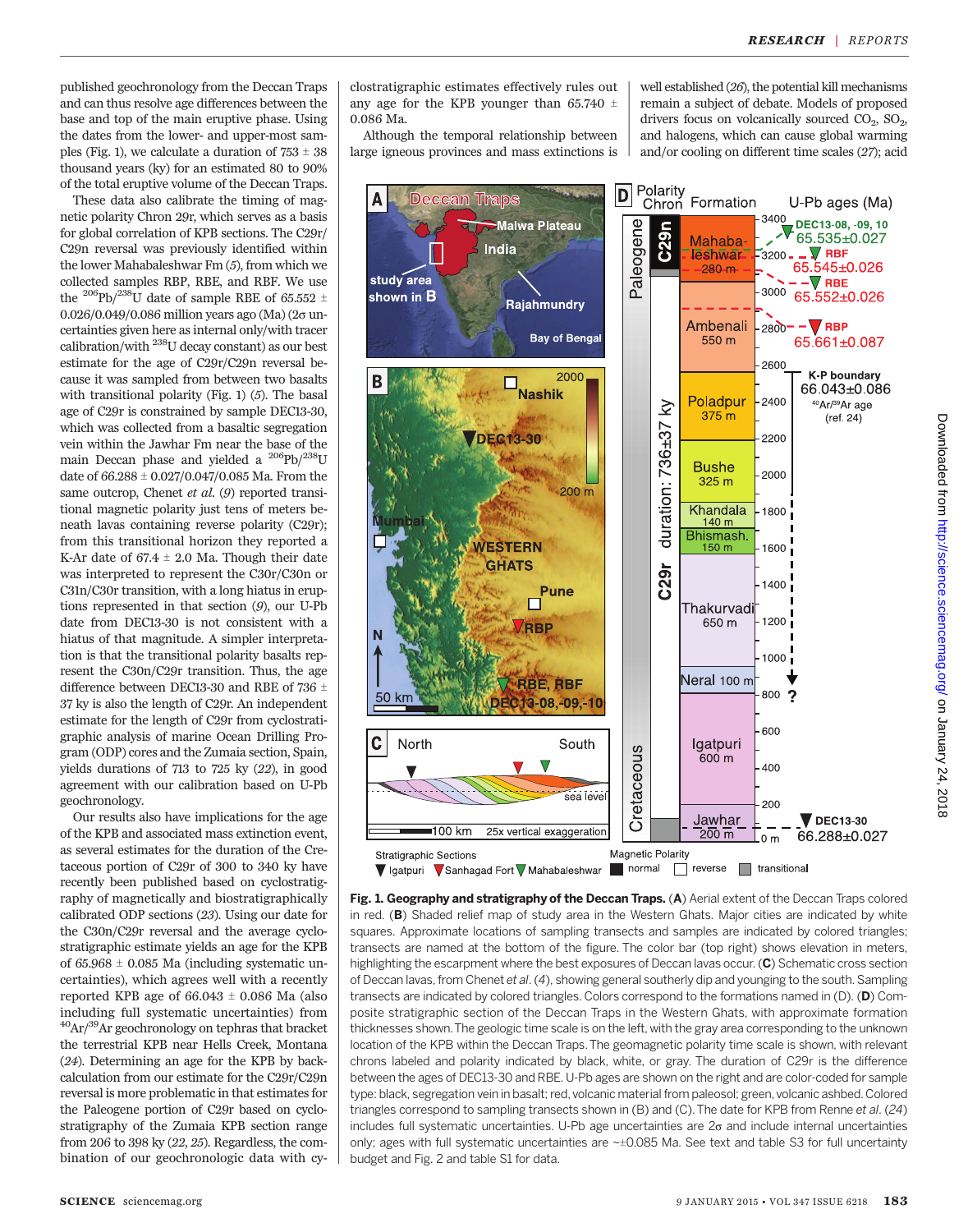published geochronology from the Deccan Traps and can thus resolve age differences between the base and top of the main eruptive phase. Using the dates from the lower- and upper-most samples (Fig. 1), we calculate a duration of  $753 \pm 38$ thousand years (ky) for an estimated 80 to 90% of the total eruptive volume of the Deccan Traps.

These data also calibrate the timing of magnetic polarity Chron 29r, which serves as a basis for global correlation of KPB sections. The C29r/ C29n reversal was previously identified within the lower Mahabaleshwar Fm (5), from which we collected samples RBP, RBE, and RBF. We use the <sup>206</sup>Pb/<sup>238</sup>U date of sample RBE of 65.552  $\pm$ 0.026/0.049/0.086 million years ago (Ma) ( $2\sigma$  uncertainties given here as internal only/with tracer calibration/with 238U decay constant) as our best estimate for the age of C29r/C29n reversal because it was sampled from between two basalts with transitional polarity (Fig. 1) (5). The basal age of C29r is constrained by sample DEC13-30, which was collected from a basaltic segregation vein within the Jawhar Fm near the base of the main Deccan phase and yielded a <sup>206</sup>Pb/<sup>238</sup>U date of  $66.288 \pm 0.027/0.047/0.085$  Ma. From the same outcrop, Chenet et al. (9) reported transitional magnetic polarity just tens of meters beneath lavas containing reverse polarity (C29r); from this transitional horizon they reported a K-Ar date of  $67.4 \pm 2.0$  Ma. Though their date was interpreted to represent the C30r/C30n or C31n/C30r transition, with a long hiatus in eruptions represented in that section (9), our U-Pb date from DEC13-30 is not consistent with a hiatus of that magnitude. A simpler interpretation is that the transitional polarity basalts represent the C30n/C29r transition. Thus, the age difference between DEC13-30 and RBE of 736  $\pm$ 37 ky is also the length of C29r. An independent estimate for the length of C29r from cyclostratigraphic analysis of marine Ocean Drilling Program (ODP) cores and the Zumaia section, Spain, yields durations of 713 to 725 ky (22), in good agreement with our calibration based on U-Pb geochronology.

Our results also have implications for the age of the KPB and associated mass extinction event, as several estimates for the duration of the Cretaceous portion of C29r of 300 to 340 ky have recently been published based on cyclostratigraphy of magnetically and biostratigraphically calibrated ODP sections (23). Using our date for the C30n/C29r reversal and the average cyclostratigraphic estimate yields an age for the KPB of  $65.968 \pm 0.085$  Ma (including systematic uncertainties), which agrees well with a recently reported KPB age of  $66.043 \pm 0.086$  Ma (also including full systematic uncertainties) from  $^{40}$ Ar/ $^{39}$ Ar geochronology on tephras that bracket the terrestrial KPB near Hells Creek, Montana (24). Determining an age for the KPB by backcalculation from our estimate for the C29r/C29n reversal is more problematic in that estimates for the Paleogene portion of C29r based on cyclostratigraphy of the Zumaia KPB section range from 206 to 398 ky (22, 25). Regardless, the combination of our geochronologic data with cy-

clostratigraphic estimates effectively rules out any age for the KPB younger than 65.740  $\pm$ 0.086 Ma.

Although the temporal relationship between large igneous provinces and mass extinctions is well established (26), the potential kill mechanisms remain a subject of debate. Models of proposed drivers focus on volcanically sourced  $CO<sub>2</sub>$ ,  $SO<sub>2</sub>$ , and halogens, which can cause global warming and/or cooling on different time scales (27); acid



Fig. 1. Geography and stratigraphy of the Deccan Traps. (A) Aerial extent of the Deccan Traps colored in red. (B) Shaded relief map of study area in the Western Ghats. Major cities are indicated by white squares. Approximate locations of sampling transects and samples are indicated by colored triangles; transects are named at the bottom of the figure. The color bar (top right) shows elevation in meters, highlighting the escarpment where the best exposures of Deccan lavas occur. (C) Schematic cross section of Deccan lavas, from Chenet et al. (4), showing general southerly dip and younging to the south. Sampling transects are indicated by colored triangles. Colors correspond to the formations named in (D). (D) Composite stratigraphic section of the Deccan Traps in the Western Ghats, with approximate formation thicknesses shown.The geologic time scale is on the left, with the gray area corresponding to the unknown location of the KPB within the Deccan Traps.The geomagnetic polarity time scale is shown, with relevant chrons labeled and polarity indicated by black, white, or gray. The duration of C29r is the difference between the ages of DEC13-30 and RBE. U-Pb ages are shown on the right and are color-coded for sample type: black, segregation vein in basalt; red, volcanic material from paleosol; green, volcanic ashbed. Colored triangles correspond to sampling transects shown in (B) and (C).The date for KPB from Renne et al. (24) includes full systematic uncertainties. U-Pb age uncertainties are  $2\sigma$  and include internal uncertainties only; ages with full systematic uncertainties are  $\sim\pm 0.085$  Ma. See text and table S3 for full uncertainty budget and Fig. 2 and table S1 for data.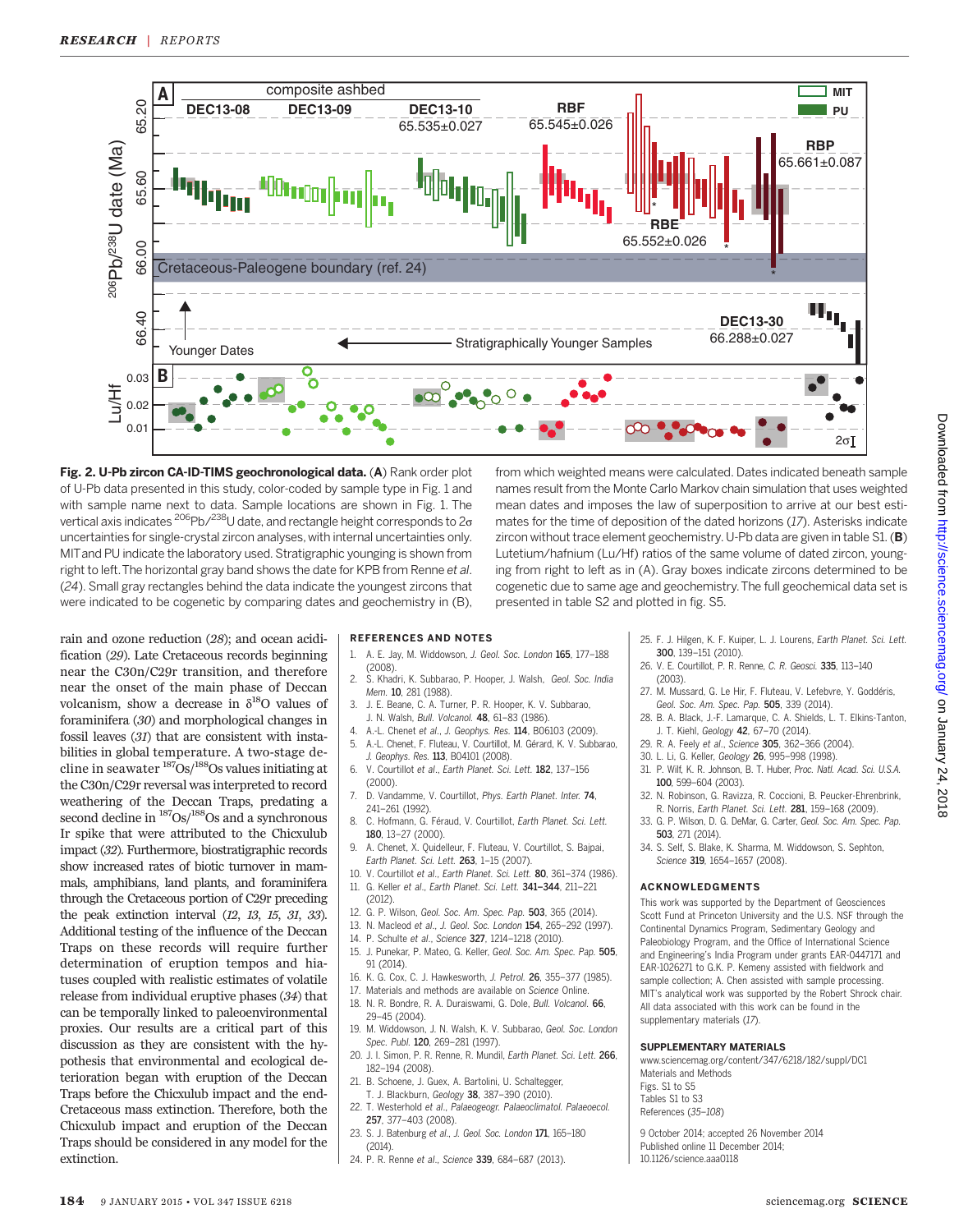

Fig. 2. U-Pb zircon CA-ID-TIMS geochronological data. (A) Rank order plot of U-Pb data presented in this study, color-coded by sample type in Fig. 1 and with sample name next to data. Sample locations are shown in Fig. 1. The vertical axis indicates  $^{206}$ Pb/ $^{238}$ U date, and rectangle height corresponds to  $2\sigma$ uncertainties for single-crystal zircon analyses, with internal uncertainties only. MITand PU indicate the laboratory used. Stratigraphic younging is shown from right to left. The horizontal gray band shows the date for KPB from Renne et al. (24). Small gray rectangles behind the data indicate the youngest zircons that were indicated to be cogenetic by comparing dates and geochemistry in (B),

from which weighted means were calculated. Dates indicated beneath sample names result from the Monte Carlo Markov chain simulation that uses weighted mean dates and imposes the law of superposition to arrive at our best estimates for the time of deposition of the dated horizons (17). Asterisks indicate zircon without trace element geochemistry. U-Pb data are given in table S1.  $(B)$ Lutetium/hafnium (Lu/Hf) ratios of the same volume of dated zircon, younging from right to left as in (A). Gray boxes indicate zircons determined to be cogenetic due to same age and geochemistry.The full geochemical data set is presented in table S2 and plotted in fig. S5.

rain and ozone reduction (28); and ocean acidification (29). Late Cretaceous records beginning near the C30n/C29r transition, and therefore near the onset of the main phase of Deccan volcanism, show a decrease in  $\delta^{18}O$  values of foraminifera (30) and morphological changes in fossil leaves (31) that are consistent with instabilities in global temperature. A two-stage decline in seawater  $\frac{187}{\text{Os}}$ / $\frac{188}{\text{Os}}$  values initiating at the C30n/C29r reversal was interpreted to record weathering of the Deccan Traps, predating a second decline in  $\frac{187}{OS}$ / $\frac{188}{OS}$  and a synchronous Ir spike that were attributed to the Chicxulub impact (32). Furthermore, biostratigraphic records show increased rates of biotic turnover in mammals, amphibians, land plants, and foraminifera through the Cretaceous portion of C29r preceding the peak extinction interval (12, 13, 15, 31, 33). Additional testing of the influence of the Deccan Traps on these records will require further determination of eruption tempos and hiatuses coupled with realistic estimates of volatile release from individual eruptive phases (34) that can be temporally linked to paleoenvironmental proxies. Our results are a critical part of this discussion as they are consistent with the hypothesis that environmental and ecological deterioration began with eruption of the Deccan Traps before the Chicxulub impact and the end-Cretaceous mass extinction. Therefore, both the Chicxulub impact and eruption of the Deccan Traps should be considered in any model for the extinction.

#### REFERENCES AND NOTES

- 1. A. E. Jay, M. Widdowson, J. Geol. Soc. London 165, 177–188 (2008).
- 2. S. Khadri, K. Subbarao, P. Hooper, J. Walsh, Geol. Soc. India Mem. 10, 281 (1988).
- 3. J. E. Beane, C. A. Turner, P. R. Hooper, K. V. Subbarao, J. N. Walsh, Bull. Volcanol. 48, 61–83 (1986).
- 4. A.-L. Chenet et al., J. Geophys. Res. 114, B06103 (2009). 5. A.-L. Chenet, F. Fluteau, V. Courtillot, M. Gérard, K. V. Subbarao,
- J. Geophys. Res. 113, B04101 (2008). 6. V. Courtillot et al., Earth Planet. Sci. Lett. 182, 137–156 (2000).
- 7. D. Vandamme, V. Courtillot, Phys. Earth Planet. Inter. 74, 241–261 (1992).
- 8. C. Hofmann, G. Féraud, V. Courtillot, Earth Planet. Sci. Lett. 180, 13–27 (2000).
- 9. A. Chenet, X. Quidelleur, F. Fluteau, V. Courtillot, S. Bajpai, Earth Planet. Sci. Lett. 263, 1–15 (2007).
- 10. V. Courtillot et al., Earth Planet. Sci. Lett. 80, 361–374 (1986). 11. G. Keller et al., Earth Planet. Sci. Lett. 341*–*344, 211–221
- (2012).
- 12. G. P. Wilson, Geol. Soc. Am. Spec. Pap. 503, 365 (2014).
- 13. N. Macleod et al., J. Geol. Soc. London 154, 265–292 (1997).
- 14. P. Schulte et al., Science 327, 1214–1218 (2010).
- 15. J. Punekar, P. Mateo, G. Keller, Geol. Soc. Am. Spec. Pap. 505, 91 (2014).
- 16. K. G. Cox, C. J. Hawkesworth, J. Petrol. 26, 355–377 (1985).
- 17. Materials and methods are available on Science Online. 18. N. R. Bondre, R. A. Duraiswami, G. Dole, Bull. Volcanol. 66,
- 29–45 (2004). 19. M. Widdowson, J. N. Walsh, K. V. Subbarao, Geol. Soc. London
- Spec. Publ. 120, 269-281 (1997). 20. J. I. Simon, P. R. Renne, R. Mundil, Earth Planet. Sci. Lett. 266,
- 182–194 (2008).
- 21. B. Schoene, J. Guex, A. Bartolini, U. Schaltegger, T. J. Blackburn, Geology 38, 387–390 (2010).
- 22. T. Westerhold et al., Palaeogeogr. Palaeoclimatol. Palaeoecol. 257, 377–403 (2008).
- 23. S. J. Batenburg et al., J. Geol. Soc. London 171, 165–180  $(2014)$
- 24. P. R. Renne et al., Science 339, 684–687 (2013).

25. F. J. Hilgen, K. F. Kuiper, L. J. Lourens, Earth Planet. Sci. Lett. 300, 139–151 (2010).

- 26. V. E. Courtillot, P. R. Renne, C. R. Geosci. 335, 113–140 (2003).
- 27. M. Mussard, G. Le Hir, F. Fluteau, V. Lefebvre, Y. Goddéris, Geol. Soc. Am. Spec. Pap. 505, 339 (2014).
- 28. B. A. Black, J.-F. Lamarque, C. A. Shields, L. T. Elkins-Tanton, J. T. Kiehl, Geology 42, 67–70 (2014).
- 29. R. A. Feely et al., Science 305, 362–366 (2004).
- 30. L. Li, G. Keller, Geology 26, 995–998 (1998).
- 31. P. Wilf, K. R. Johnson, B. T. Huber, Proc. Natl. Acad. Sci. U.S.A. 100, 599–604 (2003).
- 32. N. Robinson, G. Ravizza, R. Coccioni, B. Peucker-Ehrenbrink, R. Norris, Earth Planet. Sci. Lett. 281, 159–168 (2009).
- 33. G. P. Wilson, D. G. DeMar, G. Carter, Geol. Soc. Am. Spec. Pap. 503, 271 (2014).
- 34. S. Self, S. Blake, K. Sharma, M. Widdowson, S. Sephton, Science 319, 1654-1657 (2008).

#### ACKNOWLEDGMENTS

This work was supported by the Department of Geosciences Scott Fund at Princeton University and the U.S. NSF through the Continental Dynamics Program, Sedimentary Geology and Paleobiology Program, and the Office of International Science and Engineering's India Program under grants EAR-0447171 and EAR-1026271 to G.K. P. Kemeny assisted with fieldwork and sample collection; A. Chen assisted with sample processing. MIT's analytical work was supported by the Robert Shrock chair. All data associated with this work can be found in the supplementary materials (17).

#### SUPPLEMENTARY MATERIALS

www.sciencemag.org/content/347/6218/182/suppl/DC1 Materials and Methods Figs. S1 to S5 Tables S1 to S3 References (35–108)

9 October 2014; accepted 26 November 2014 Published online 11 December 2014; 10.1126/science.aaa0118